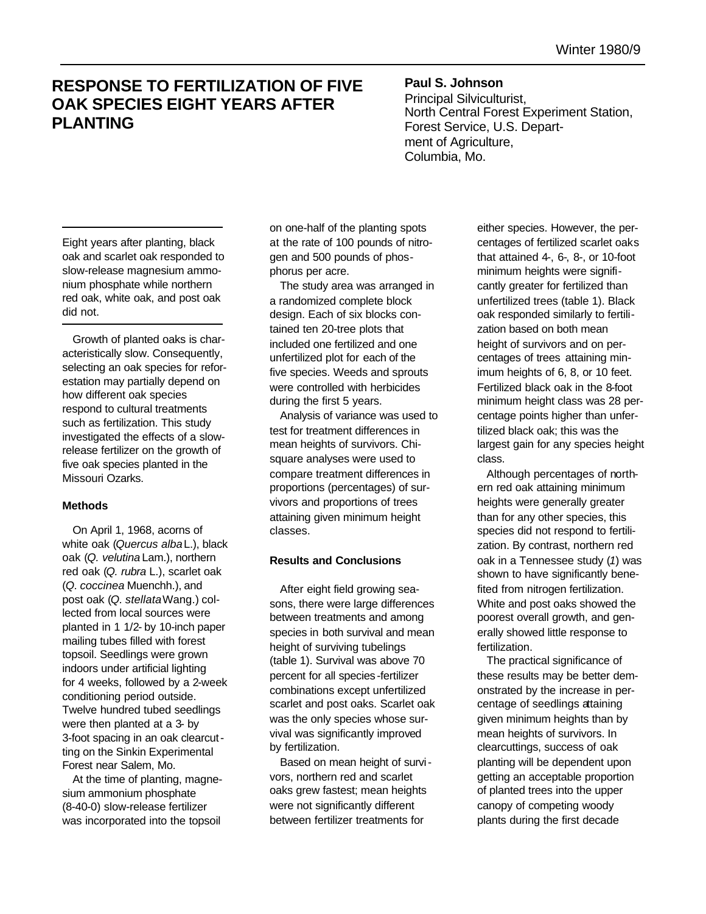## **RESPONSE TO FERTILIZATION OF FIVE OAK SPECIES EIGHT YEARS AFTER PLANTING**

**Paul S. Johnson** Principal Silviculturist, North Central Forest Experiment Station, Forest Service, U.S. Department of Agriculture, Columbia, Mo.

Eight years after planting, black oak and scarlet oak responded to slow-release magnesium ammonium phosphate while northern red oak, white oak, and post oak did not.

Growth of planted oaks is characteristically slow. Consequently, selecting an oak species for reforestation may partially depend on how different oak species respond to cultural treatments such as fertilization. This study investigated the effects of a slowrelease fertilizer on the growth of five oak species planted in the Missouri Ozarks.

## **Methods**

On April 1, 1968, acorns of white oak (Quercus albaL.), black oak (*Q. velutina* Lam.), northern red oak (*Q. rubra* L.), scarlet oak (*Q. coccinea* Muenchh.), and post oak (*Q. stellata* Wang.) collected from local sources were planted in 1 1/2- by 10-inch paper mailing tubes filled with forest topsoil. Seedlings were grown indoors under artificial lighting for 4 weeks, followed by a 2-week conditioning period outside. Twelve hundred tubed seedlings were then planted at a 3- by 3-foot spacing in an oak clearcutting on the Sinkin Experimental Forest near Salem, Mo.

At the time of planting, magnesium ammonium phosphate (8-40-0) slow-release fertilizer was incorporated into the topsoil

on one-half of the planting spots at the rate of 100 pounds of nitrogen and 500 pounds of phosphorus per acre.

The study area was arranged in a randomized complete block design. Each of six blocks contained ten 20-tree plots that included one fertilized and one unfertilized plot for each of the five species. Weeds and sprouts were controlled with herbicides during the first 5 years.

Analysis of variance was used to test for treatment differences in mean heights of survivors. Chisquare analyses were used to compare treatment differences in proportions (percentages) of survivors and proportions of trees attaining given minimum height classes.

## **Results and Conclusions**

After eight field growing seasons, there were large differences between treatments and among species in both survival and mean height of surviving tubelings (table 1). Survival was above 70 percent for all species -fertilizer combinations except unfertilized scarlet and post oaks. Scarlet oak was the only species whose survival was significantly improved by fertilization.

Based on mean height of survivors, northern red and scarlet oaks grew fastest; mean heights were not significantly different between fertilizer treatments for

either species. However, the percentages of fertilized scarlet oaks that attained 4-, 6-, 8-, or 10-foot minimum heights were significantly greater for fertilized than unfertilized trees (table 1). Black oak responded similarly to fertilization based on both mean height of survivors and on percentages of trees attaining minimum heights of 6, 8, or 10 feet. Fertilized black oak in the 8-foot minimum height class was 28 percentage points higher than unfertilized black oak; this was the largest gain for any species height class.

Although percentages of northern red oak attaining minimum heights were generally greater than for any other species, this species did not respond to fertilization. By contrast, northern red oak in a Tennessee study (*1*) was shown to have significantly benefited from nitrogen fertilization. White and post oaks showed the poorest overall growth, and generally showed little response to fertilization.

The practical significance of these results may be better demonstrated by the increase in percentage of seedlings attaining given minimum heights than by mean heights of survivors. In clearcuttings, success of oak planting will be dependent upon getting an acceptable proportion of planted trees into the upper canopy of competing woody plants during the first decade